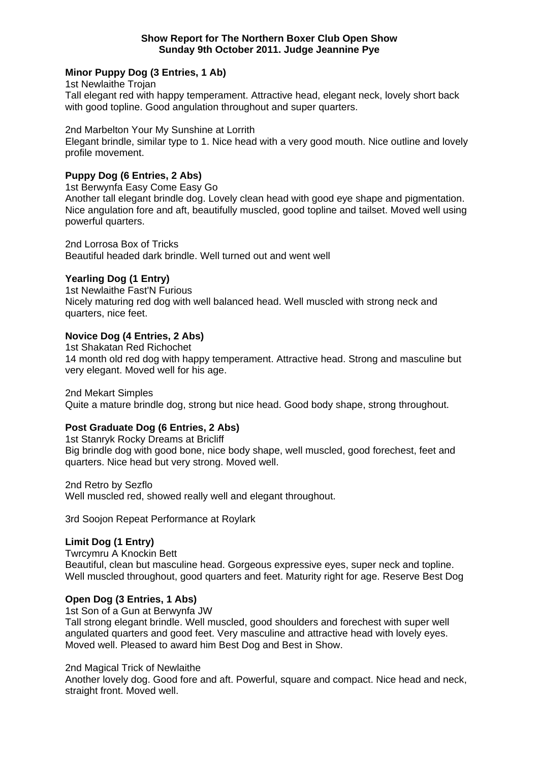#### **Show Report for The Northern Boxer Club Open Show Sunday 9th October 2011. Judge Jeannine Pye**

# **Minor Puppy Dog (3 Entries, 1 Ab)**

1st Newlaithe Trojan Tall elegant red with happy temperament. Attractive head, elegant neck, lovely short back with good topline. Good angulation throughout and super quarters.

2nd Marbelton Your My Sunshine at Lorrith

Elegant brindle, similar type to 1. Nice head with a very good mouth. Nice outline and lovely profile movement.

## **Puppy Dog (6 Entries, 2 Abs)**

1st Berwynfa Easy Come Easy Go

Another tall elegant brindle dog. Lovely clean head with good eye shape and pigmentation. Nice angulation fore and aft, beautifully muscled, good topline and tailset. Moved well using powerful quarters.

2nd Lorrosa Box of Tricks Beautiful headed dark brindle. Well turned out and went well

## **Yearling Dog (1 Entry)**

1st Newlaithe Fast'N Furious Nicely maturing red dog with well balanced head. Well muscled with strong neck and quarters, nice feet.

# **Novice Dog (4 Entries, 2 Abs)**

1st Shakatan Red Richochet 14 month old red dog with happy temperament. Attractive head. Strong and masculine but very elegant. Moved well for his age.

2nd Mekart Simples

Quite a mature brindle dog, strong but nice head. Good body shape, strong throughout.

### **Post Graduate Dog (6 Entries, 2 Abs)**

1st Stanryk Rocky Dreams at Bricliff Big brindle dog with good bone, nice body shape, well muscled, good forechest, feet and quarters. Nice head but very strong. Moved well.

2nd Retro by Sezflo

Well muscled red, showed really well and elegant throughout.

3rd Soojon Repeat Performance at Roylark

### **Limit Dog (1 Entry)**

Twrcymru A Knockin Bett Beautiful, clean but masculine head. Gorgeous expressive eyes, super neck and topline. Well muscled throughout, good quarters and feet. Maturity right for age. Reserve Best Dog

#### **Open Dog (3 Entries, 1 Abs)**

1st Son of a Gun at Berwynfa JW

Tall strong elegant brindle. Well muscled, good shoulders and forechest with super well angulated quarters and good feet. Very masculine and attractive head with lovely eyes. Moved well. Pleased to award him Best Dog and Best in Show.

#### 2nd Magical Trick of Newlaithe

Another lovely dog. Good fore and aft. Powerful, square and compact. Nice head and neck, straight front. Moved well.